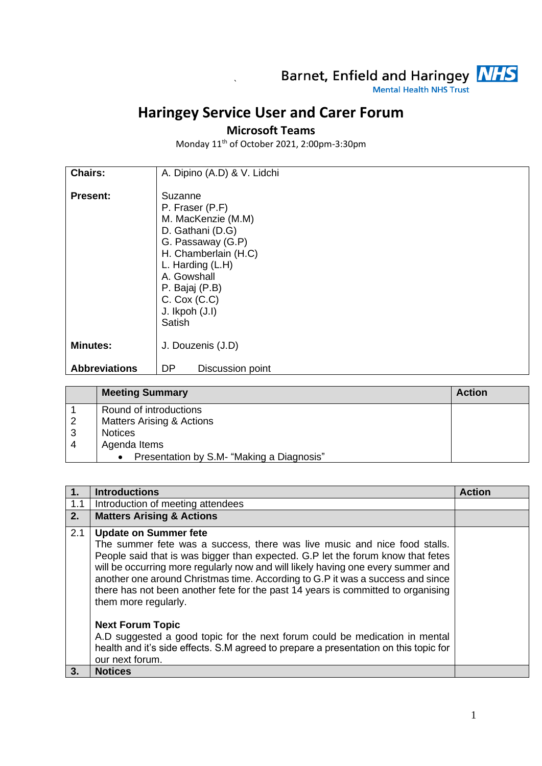

## **Haringey Service User and Carer Forum**

`

## **Microsoft Teams**

Monday 11th of October 2021, 2:00pm-3:30pm

| <b>Chairs:</b>       | A. Dipino (A.D) & V. Lidchi                                                                                                                                                                                            |
|----------------------|------------------------------------------------------------------------------------------------------------------------------------------------------------------------------------------------------------------------|
| <b>Present:</b>      | Suzanne<br>P. Fraser (P.F)<br>M. MacKenzie (M.M)<br>D. Gathani (D.G)<br>G. Passaway (G.P)<br>H. Chamberlain (H.C)<br>L. Harding (L.H)<br>A. Gowshall<br>P. Bajaj (P.B)<br>$C.$ Cox $(C.C)$<br>J. Ikpoh (J.I)<br>Satish |
| <b>Minutes:</b>      | J. Douzenis (J.D)                                                                                                                                                                                                      |
| <b>Abbreviations</b> | DP<br>Discussion point                                                                                                                                                                                                 |

|    | <b>Meeting Summary</b>                                 | <b>Action</b> |
|----|--------------------------------------------------------|---------------|
|    | Round of introductions                                 |               |
| -2 | <b>Matters Arising &amp; Actions</b>                   |               |
| 3  | <b>Notices</b>                                         |               |
|    | Agenda Items                                           |               |
|    | Presentation by S.M- "Making a Diagnosis"<br>$\bullet$ |               |

|     | <b>Introductions</b>                                                                                                                                                                                                                                                                                                                                                                                                                                                                                                                                                                                                                                                             | <b>Action</b> |
|-----|----------------------------------------------------------------------------------------------------------------------------------------------------------------------------------------------------------------------------------------------------------------------------------------------------------------------------------------------------------------------------------------------------------------------------------------------------------------------------------------------------------------------------------------------------------------------------------------------------------------------------------------------------------------------------------|---------------|
| 1.1 | Introduction of meeting attendees                                                                                                                                                                                                                                                                                                                                                                                                                                                                                                                                                                                                                                                |               |
| 2.  | <b>Matters Arising &amp; Actions</b>                                                                                                                                                                                                                                                                                                                                                                                                                                                                                                                                                                                                                                             |               |
| 2.1 | <b>Update on Summer fete</b><br>The summer fete was a success, there was live music and nice food stalls.<br>People said that is was bigger than expected. G.P let the forum know that fetes<br>will be occurring more regularly now and will likely having one every summer and<br>another one around Christmas time. According to G.P it was a success and since<br>there has not been another fete for the past 14 years is committed to organising<br>them more regularly.<br><b>Next Forum Topic</b><br>A.D suggested a good topic for the next forum could be medication in mental<br>health and it's side effects. S.M agreed to prepare a presentation on this topic for |               |
| 3.  | our next forum.<br><b>Notices</b>                                                                                                                                                                                                                                                                                                                                                                                                                                                                                                                                                                                                                                                |               |
|     |                                                                                                                                                                                                                                                                                                                                                                                                                                                                                                                                                                                                                                                                                  |               |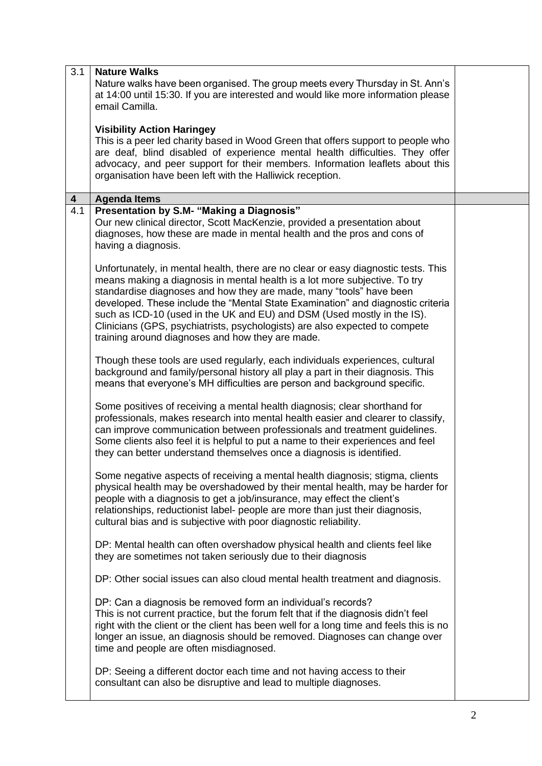| 3.1                     | <b>Nature Walks</b>                                                                                                                                                                                                                                                                                                                                                                                                                                                                                                                      |  |
|-------------------------|------------------------------------------------------------------------------------------------------------------------------------------------------------------------------------------------------------------------------------------------------------------------------------------------------------------------------------------------------------------------------------------------------------------------------------------------------------------------------------------------------------------------------------------|--|
|                         | Nature walks have been organised. The group meets every Thursday in St. Ann's<br>at 14:00 until 15:30. If you are interested and would like more information please<br>email Camilla.                                                                                                                                                                                                                                                                                                                                                    |  |
|                         |                                                                                                                                                                                                                                                                                                                                                                                                                                                                                                                                          |  |
|                         | <b>Visibility Action Haringey</b><br>This is a peer led charity based in Wood Green that offers support to people who<br>are deaf, blind disabled of experience mental health difficulties. They offer                                                                                                                                                                                                                                                                                                                                   |  |
|                         | advocacy, and peer support for their members. Information leaflets about this<br>organisation have been left with the Halliwick reception.                                                                                                                                                                                                                                                                                                                                                                                               |  |
| $\overline{\mathbf{4}}$ | <b>Agenda Items</b>                                                                                                                                                                                                                                                                                                                                                                                                                                                                                                                      |  |
| 4.1                     | Presentation by S.M- "Making a Diagnosis"<br>Our new clinical director, Scott MacKenzie, provided a presentation about<br>diagnoses, how these are made in mental health and the pros and cons of<br>having a diagnosis.                                                                                                                                                                                                                                                                                                                 |  |
|                         | Unfortunately, in mental health, there are no clear or easy diagnostic tests. This<br>means making a diagnosis in mental health is a lot more subjective. To try<br>standardise diagnoses and how they are made, many "tools" have been<br>developed. These include the "Mental State Examination" and diagnostic criteria<br>such as ICD-10 (used in the UK and EU) and DSM (Used mostly in the IS).<br>Clinicians (GPS, psychiatrists, psychologists) are also expected to compete<br>training around diagnoses and how they are made. |  |
|                         | Though these tools are used regularly, each individuals experiences, cultural<br>background and family/personal history all play a part in their diagnosis. This<br>means that everyone's MH difficulties are person and background specific.                                                                                                                                                                                                                                                                                            |  |
|                         | Some positives of receiving a mental health diagnosis; clear shorthand for<br>professionals, makes research into mental health easier and clearer to classify,<br>can improve communication between professionals and treatment guidelines.<br>Some clients also feel it is helpful to put a name to their experiences and feel<br>they can better understand themselves once a diagnosis is identified.                                                                                                                                 |  |
|                         | Some negative aspects of receiving a mental health diagnosis; stigma, clients<br>physical health may be overshadowed by their mental health, may be harder for<br>people with a diagnosis to get a job/insurance, may effect the client's<br>relationships, reductionist label- people are more than just their diagnosis,<br>cultural bias and is subjective with poor diagnostic reliability.                                                                                                                                          |  |
|                         | DP: Mental health can often overshadow physical health and clients feel like<br>they are sometimes not taken seriously due to their diagnosis                                                                                                                                                                                                                                                                                                                                                                                            |  |
|                         | DP: Other social issues can also cloud mental health treatment and diagnosis.                                                                                                                                                                                                                                                                                                                                                                                                                                                            |  |
|                         | DP: Can a diagnosis be removed form an individual's records?<br>This is not current practice, but the forum felt that if the diagnosis didn't feel<br>right with the client or the client has been well for a long time and feels this is no<br>longer an issue, an diagnosis should be removed. Diagnoses can change over<br>time and people are often misdiagnosed.                                                                                                                                                                    |  |
|                         | DP: Seeing a different doctor each time and not having access to their<br>consultant can also be disruptive and lead to multiple diagnoses.                                                                                                                                                                                                                                                                                                                                                                                              |  |